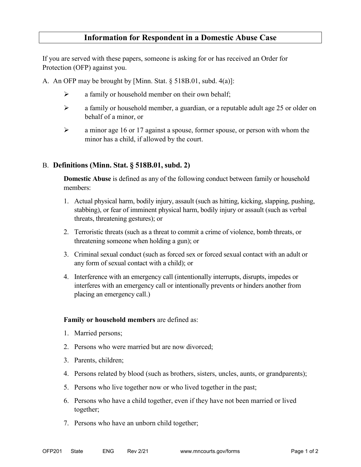## **Information for Respondent in a Domestic Abuse Case**

If you are served with these papers, someone is asking for or has received an Order for Protection (OFP) against you.

A. An OFP may be brought by [Minn. Stat. § 518B.01, subd. 4(a)]:

- $\triangleright$  a family or household member on their own behalf;
- $\triangleright$  a family or household member, a guardian, or a reputable adult age 25 or older on behalf of a minor, or
- $\geq$  a minor age 16 or 17 against a spouse, former spouse, or person with whom the minor has a child, if allowed by the court.

## B. **Definitions (Minn. Stat. § 518B.01, subd. 2)**

**Domestic Abuse** is defined as any of the following conduct between family or household members:

- 1. Actual physical harm, bodily injury, assault (such as hitting, kicking, slapping, pushing, stabbing), or fear of imminent physical harm, bodily injury or assault (such as verbal threats, threatening gestures); or
- 2. Terroristic threats (such as a threat to commit a crime of violence, bomb threats, or threatening someone when holding a gun); or
- 3. Criminal sexual conduct (such as forced sex or forced sexual contact with an adult or any form of sexual contact with a child); or
- 4. Interference with an emergency call (intentionally interrupts, disrupts, impedes or interferes with an emergency call or intentionally prevents or hinders another from placing an emergency call.)

## **Family or household members** are defined as:

- 1. Married persons;
- 2. Persons who were married but are now divorced;
- 3. Parents, children;
- 4. Persons related by blood (such as brothers, sisters, uncles, aunts, or grandparents);
- 5. Persons who live together now or who lived together in the past;
- 6. Persons who have a child together, even if they have not been married or lived together;
- 7. Persons who have an unborn child together;